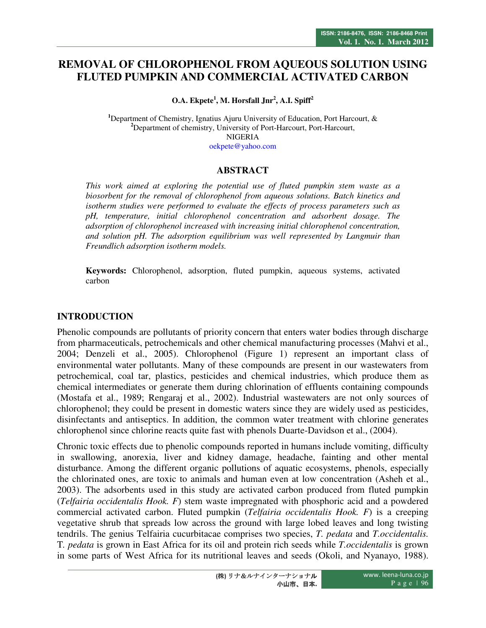# **REMOVAL OF CHLOROPHENOL FROM AQUEOUS SOLUTION USING FLUTED PUMPKIN AND COMMERCIAL ACTIVATED CARBON**

**O.A. Ekpete<sup>1</sup> , M. Horsfall Jnr<sup>2</sup> , A.I. Spiff<sup>2</sup>**

<sup>1</sup>Department of Chemistry, Ignatius Ajuru University of Education, Port Harcourt, & **<sup>2</sup>**Department of chemistry, University of Port-Harcourt, Port-Harcourt, NIGERIA oekpete@yahoo.com

## **ABSTRACT**

*This work aimed at exploring the potential use of fluted pumpkin stem waste as a biosorbent for the removal of chlorophenol from aqueous solutions. Batch kinetics and isotherm studies were performed to evaluate the effects of process parameters such as pH, temperature, initial chlorophenol concentration and adsorbent dosage. The adsorption of chlorophenol increased with increasing initial chlorophenol concentration, and solution pH. The adsorption equilibrium was well represented by Langmuir than Freundlich adsorption isotherm models.* 

**Keywords:** Chlorophenol, adsorption, fluted pumpkin, aqueous systems, activated carbon

## **INTRODUCTION**

Phenolic compounds are pollutants of priority concern that enters water bodies through discharge from pharmaceuticals, petrochemicals and other chemical manufacturing processes (Mahvi et al., 2004; Denzeli et al., 2005). Chlorophenol (Figure 1) represent an important class of environmental water pollutants. Many of these compounds are present in our wastewaters from petrochemical, coal tar, plastics, pesticides and chemical industries, which produce them as chemical intermediates or generate them during chlorination of effluents containing compounds (Mostafa et al., 1989; Rengaraj et al., 2002). Industrial wastewaters are not only sources of chlorophenol; they could be present in domestic waters since they are widely used as pesticides, disinfectants and antiseptics. In addition, the common water treatment with chlorine generates chlorophenol since chlorine reacts quite fast with phenols Duarte-Davidson et al., (2004).

Chronic toxic effects due to phenolic compounds reported in humans include vomiting, difficulty in swallowing, anorexia, liver and kidney damage, headache, fainting and other mental disturbance. Among the different organic pollutions of aquatic ecosystems, phenols, especially the chlorinated ones, are toxic to animals and human even at low concentration (Asheh et al., 2003). The adsorbents used in this study are activated carbon produced from fluted pumpkin (*Telfairia occidentalis Hook. F*) stem waste impregnated with phosphoric acid and a powdered commercial activated carbon. Fluted pumpkin (*Telfairia occidentalis Hook. F*) is a creeping vegetative shrub that spreads low across the ground with large lobed leaves and long twisting tendrils. The genius Telfairia cucurbitacae comprises two species, *T. pedata* and *T.occidentalis.*  T*. pedata* is grown in East Africa for its oil and protein rich seeds while *T.occidentalis* is grown in some parts of West Africa for its nutritional leaves and seeds (Okoli, and Nyanayo, 1988).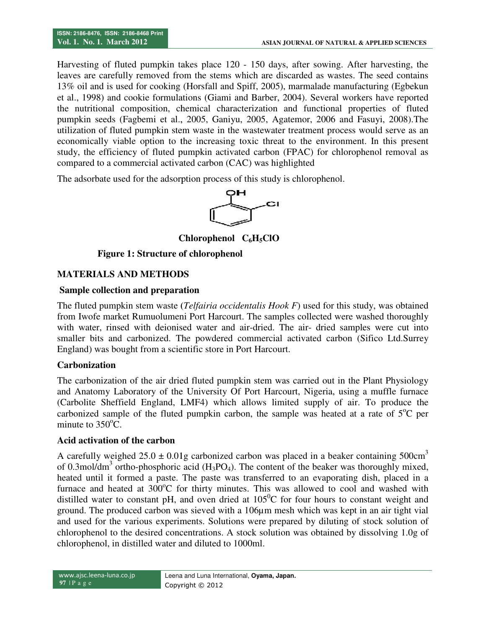Harvesting of fluted pumpkin takes place 120 - 150 days, after sowing. After harvesting, the leaves are carefully removed from the stems which are discarded as wastes. The seed contains 13% oil and is used for cooking (Horsfall and Spiff, 2005), marmalade manufacturing (Egbekun et al., 1998) and cookie formulations (Giami and Barber, 2004). Several workers have rep the nutritional composition, chemical characterization and functional properties of fluted pumpkin seeds (Fagbemi et al., 2005, Ganiyu, 2005, Agatemor, 2006 and Fasuyi, 2008).The the nutritional composition, chemical characterization and functional properties of fluted pumpkin seeds (Fagbemi et al., 2005, Ganiyu, 2005, Agatemor, 2006 and Fasuyi, 2008). The utilization of fluted pumpkin stem waste i economically viable option to the increasing toxic threat to the environment. In this present study, the efficiency of fluted pumpkin activated carbon (FPAC) for chlorophenol removal as compared to a commercial activated carbon (CAC s are carefully removed from the stems which are discarded as wastes. The seed con<br>oil and is used for cooking (Horsfall and Spiff, 2005), marmalade manufacturing (Egb<br>, 1998) and cookie formulations (Giami and Barber, 200 nically viable option to the increasing toxic threat to the environment. In the efficiency of fluted pumpkin activated carbon (FPAC) for chlorophenol red to a commercial activated carbon (CAC) was highlighted days, after sowing. After harvesting, the<br>e discarded as wastes. The seed contains<br>005), marmalade manufacturing (Egbekun<br>eer, 2004). Several workers have reported

The adsorbate used for the adsorption process of this study is chlorophenol.



**Chlorophenol C<sub>6</sub>H<sub>5</sub>ClO</sub>** 

#### **Figure 1: Structure of chlorophenol**

#### **MATERIALS AND METHODS**

#### **Sample collection and preparation**

The fluted pumpkin stem waste ( (*Telfairia occidentalis Hook F*) used for this study, was obtained from Iwofe market Rumuolumeni Port Harcourt. The samples collected were washed thoroughly from Iwofe market Rumuolumeni Port Harcourt. The samples collected were washed thoroughly with water, rinsed with deionised water and air-dried. The air-dried samples were cut into smaller bits and carbonized. The powdered commercial activated carbon (Sifico Ltd.Surrey England) was bought from a scientific store in Port Harcourt. in the was text in the was text the merical process would set able option to the increasing toxic threat to the environment. In this energy of fluted pumpkin activated carbon (FPAC) for chlorophenol remomercial activated c

#### **Carbonization**

The carbonization of the air dried fluted pumpkin stem was carried out in the Plant Physiology and Anatomy Laboratory of the University Of Port Harcourt, Nigeria, using a muffle furnace (Carbolite Sheffield England, LMF4) which allows limited supply of air. To produce the carbonized sample of the fluted pumpkin carbon, the sample was heated at a rate of  $5^{\circ}$ C per minute to  $350^{\circ}$ C. buy in the air dried fluted pumpkin stem was carried out in the Plant Physiology<br>aboratory of the University Of Port Harcourt, Nigeria, using a muffle furnace<br>field England, LMF4) which allows limited supply of air. To pr

#### **Acid activation of the carbon**

A carefully weighed  $25.0 \pm 0.01$ g carbonized carbon was placed in a beaker containing  $500 \text{cm}^3$ of 0.3mol/dm<sup>3</sup> ortho-phosphoric acid (H heated until it formed a paste. The paste was transferred to an evaporating dish, placed in a furnace and heated at  $300^{\circ}$ C for thirty minutes. This was allowed to cool and washed with furnace and heated at  $300^{\circ}$ C for thirty minutes. This was allowed to cool and washed with distilled water to constant pH, and oven dried at  $105^{\circ}$ C for four hours to constant weight and ground. The produced carbon was sieved with a 106µm mesh which was kept in an air tight vial ground. The produced carbon was sieved with a 106µm mesh which was kept in an air tight vial<br>and used for the various experiments. Solutions were prepared by diluting of stock solution of chlorophenol to the desired concentrations. A stock solution was obtained by dissolving 1.0g of chlorophenol, in distilled water and diluted to 1000ml. content of the beaker was thoroughly<br>isferred to an evaporating dish, place<br>This was allowed to cool and washe<br> $05^0C$  for four hours to constant weig<br> $50\mu$  mesh which was kept in an air tig<br>ere prepared by diluting of s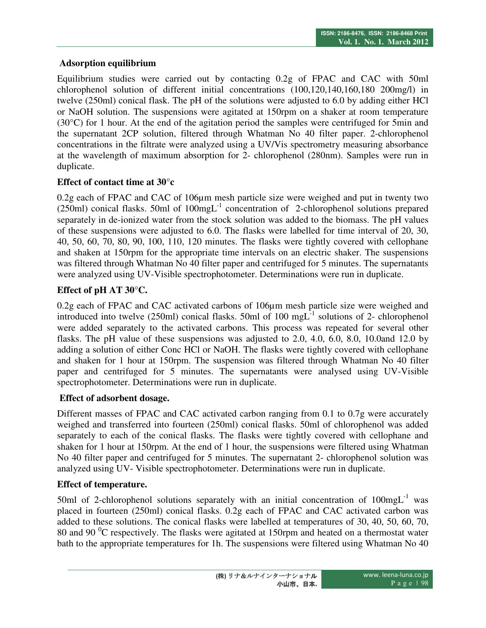## **Adsorption equilibrium**

Equilibrium studies were carried out by contacting 0.2g of FPAC and CAC with 50ml chlorophenol solution of different initial concentrations (100,120,140,160,180 200mg/l) in twelve (250ml) conical flask. The pH of the solutions were adjusted to 6.0 by adding either HCl or NaOH solution. The suspensions were agitated at 150rpm on a shaker at room temperature  $(30^{\circ}$ C) for 1 hour. At the end of the agitation period the samples were centrifuged for 5min and the supernatant 2CP solution, filtered through Whatman No 40 filter paper. 2-chlorophenol concentrations in the filtrate were analyzed using a UV/Vis spectrometry measuring absorbance at the wavelength of maximum absorption for 2- chlorophenol (280nm). Samples were run in duplicate.

## **Effect of contact time at 30°c**

0.2g each of FPAC and CAC of 106µm mesh particle size were weighed and put in twenty two  $(250ml)$  conical flasks. 50ml of  $100mgL^{-1}$  concentration of 2-chlorophenol solutions prepared separately in de-ionized water from the stock solution was added to the biomass. The pH values of these suspensions were adjusted to 6.0. The flasks were labelled for time interval of 20, 30, 40, 50, 60, 70, 80, 90, 100, 110, 120 minutes. The flasks were tightly covered with cellophane and shaken at 150rpm for the appropriate time intervals on an electric shaker. The suspensions was filtered through Whatman No 40 filter paper and centrifuged for 5 minutes. The supernatants were analyzed using UV-Visible spectrophotometer. Determinations were run in duplicate.

## **Effect of pH AT 30°C.**

0.2g each of FPAC and CAC activated carbons of 106µm mesh particle size were weighed and introduced into twelve (250ml) conical flasks. 50ml of 100  $mgL^{-1}$  solutions of 2- chlorophenol were added separately to the activated carbons. This process was repeated for several other flasks. The pH value of these suspensions was adjusted to 2.0, 4.0, 6.0, 8.0, 10.0and 12.0 by adding a solution of either Conc HCl or NaOH. The flasks were tightly covered with cellophane and shaken for 1 hour at 150rpm. The suspension was filtered through Whatman No 40 filter paper and centrifuged for 5 minutes. The supernatants were analysed using UV-Visible spectrophotometer. Determinations were run in duplicate.

## **Effect of adsorbent dosage.**

Different masses of FPAC and CAC activated carbon ranging from 0.1 to 0.7g were accurately weighed and transferred into fourteen (250ml) conical flasks. 50ml of chlorophenol was added separately to each of the conical flasks. The flasks were tightly covered with cellophane and shaken for 1 hour at 150rpm. At the end of 1 hour, the suspensions were filtered using Whatman No 40 filter paper and centrifuged for 5 minutes. The supernatant 2- chlorophenol solution was analyzed using UV- Visible spectrophotometer. Determinations were run in duplicate.

## **Effect of temperature.**

50ml of 2-chlorophenol solutions separately with an initial concentration of  $100mgL^{-1}$  was placed in fourteen (250ml) conical flasks. 0.2g each of FPAC and CAC activated carbon was added to these solutions. The conical flasks were labelled at temperatures of 30, 40, 50, 60, 70, 80 and 90 $^{0}$ C respectively. The flasks were agitated at 150rpm and heated on a thermostat water bath to the appropriate temperatures for 1h. The suspensions were filtered using Whatman No 40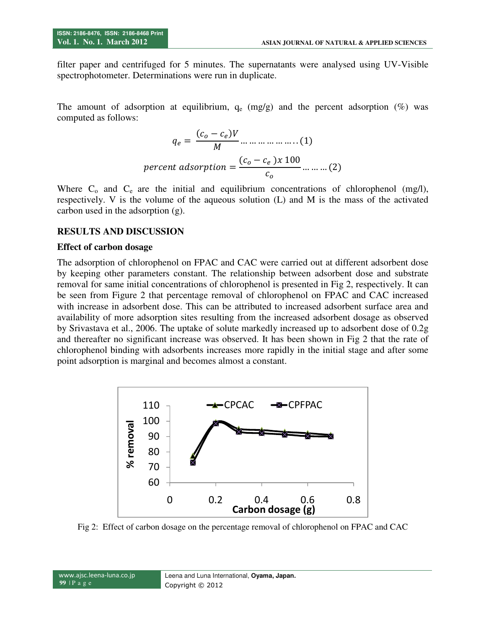filter paper and centrifuged for 5 minutes. The supernatants were analysed using UV-Visible spectrophotometer. Determinations were run in duplicate.

The amount of adsorption at equilibrium,  $q_e$  (mg/g) and the percent adsorption (%) was computed as follows:

$$
q_e = \frac{(c_o - c_e)V}{M} \dots \dots \dots \dots \dots \dots (1)
$$
  
percent adsorption = 
$$
\frac{(c_o - c_e)x \cdot 100}{c_o} \dots \dots \dots (2)
$$

Where  $C_0$  and  $C_e$  are the initial and equilibrium concentrations of chlorophenol (mg/l), respectively. V is the volume of the aqueous solution (L) and M is the mass of the activated carbon used in the adsorption (g).

#### **RESULTS AND DISCUSSION**

#### **Effect of carbon dosage**

The adsorption of chlorophenol on FPAC and CAC were carried out at different adsorbent dose by keeping other parameters constant. The relationship between adsorbent dose and substrate removal for same initial concentrations of chlorophenol is presented in Fig 2, respectively. It can be seen from Figure 2 that percentage removal of chlorophenol on FPAC and CAC increased with increase in adsorbent dose. This can be attributed to increased adsorbent surface area and availability of more adsorption sites resulting from the increased adsorbent dosage as observed by Srivastava et al., 2006. The uptake of solute markedly increased up to adsorbent dose of 0.2g and thereafter no significant increase was observed. It has been shown in Fig 2 that the rate of chlorophenol binding with adsorbents increases more rapidly in the initial stage and after some point adsorption is marginal and becomes almost a constant.



Fig 2: Effect of carbon dosage on the percentage removal of chlorophenol on FPAC and CAC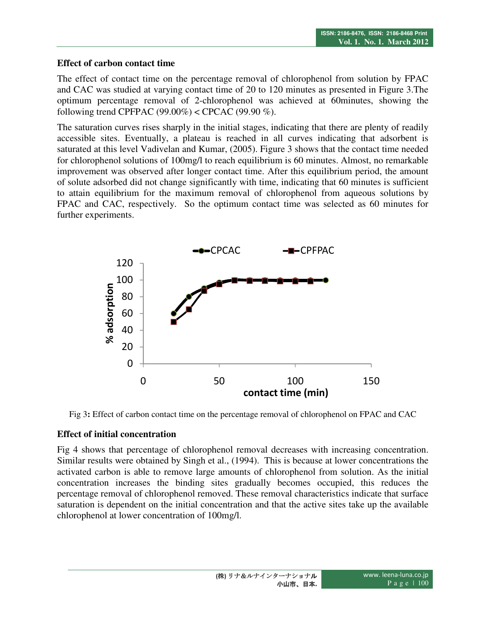#### **Effect of carbon contact time**

The effect of contact time on the percentage removal of chlorophenol from solution by FPAC and CAC was studied at varying contact time of 20 to 120 minutes as presented in Figure 3.The optimum percentage removal of 2-chlorophenol was achieved at 60minutes, showing the following trend CPFPAC  $(99.00\%) <$  CPCAC  $(99.90\%)$ .

The saturation curves rises sharply in the initial stages, indicating that there are plenty of readily accessible sites. Eventually, a plateau is reached in all curves indicating that adsorbent is saturated at this level Vadivelan and Kumar, (2005). Figure 3 shows that the contact time needed for chlorophenol solutions of 100mg/l to reach equilibrium is 60 minutes. Almost, no remarkable improvement was observed after longer contact time. After this equilibrium period, the amount of solute adsorbed did not change significantly with time, indicating that 60 minutes is sufficient to attain equilibrium for the maximum removal of chlorophenol from aqueous solutions by FPAC and CAC, respectively. So the optimum contact time was selected as 60 minutes for further experiments.



Fig 3**:** Effect of carbon contact time on the percentage removal of chlorophenol on FPAC and CAC

## **Effect of initial concentration**

Fig 4 shows that percentage of chlorophenol removal decreases with increasing concentration. Similar results were obtained by Singh et al., (1994). This is because at lower concentrations the activated carbon is able to remove large amounts of chlorophenol from solution. As the initial concentration increases the binding sites gradually becomes occupied, this reduces the percentage removal of chlorophenol removed. These removal characteristics indicate that surface saturation is dependent on the initial concentration and that the active sites take up the available chlorophenol at lower concentration of 100mg/l.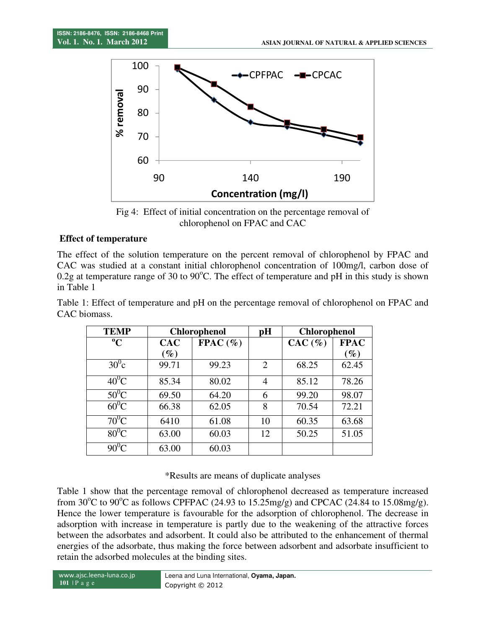

Fig 4: Effect of initial concentration on the percentage removal of chlorophenol on FPAC and CAC

## **Effect of temperature**

The effect of the solution temperature on the percent removal of chlorophenol by FPAC and CAC was studied at a constant initial chlorophenol concentration of 100mg/l, carbon dose of 0.2g at temperature range of 30 to 90 $^{\circ}$ C. The effect of temperature and pH in this study is shown in Table 1

| <b>TEMP</b>    | <b>Chlorophenol</b> |            | pH | <b>Chlorophenol</b> |                        |
|----------------|---------------------|------------|----|---------------------|------------------------|
| $\mathbf{C}$   | <b>CAC</b>          | $FPAC(\%)$ |    | $CAC(\%)$           | <b>FPAC</b>            |
|                | $\mathscr{G}_o$     |            |    |                     | $\mathscr{Y}_{\bm{c}}$ |
| $30^{\circ}$ c | 99.71               | 99.23      |    | 68.25               | 62.45                  |
| 40°C           | 85.34               | 80.02      |    | 85.12               | 78.26                  |
|                | 69.50               | 64.20      |    | 99.20               | 98.07                  |

60<sup>o</sup>C 66.38 62.05 8 70.54 72.21  $70^0$ C 6410 61.08 10 60.35 63.68 80<sup>o</sup>C 63.00 60.03 12 50.25 51.05

 $90^0C$  63.00 60.03

Table 1: Effect of temperature and pH on the percentage removal of chlorophenol on FPAC and CAC biomass.

#### \*Results are means of duplicate analyses

Table 1 show that the percentage removal of chlorophenol decreased as temperature increased from  $30^{\circ}$ C to  $90^{\circ}$ C as follows CPFPAC (24.93 to 15.25mg/g) and CPCAC (24.84 to 15.08mg/g). Hence the lower temperature is favourable for the adsorption of chlorophenol. The decrease in adsorption with increase in temperature is partly due to the weakening of the attractive forces between the adsorbates and adsorbent. It could also be attributed to the enhancement of thermal energies of the adsorbate, thus making the force between adsorbent and adsorbate insufficient to retain the adsorbed molecules at the binding sites.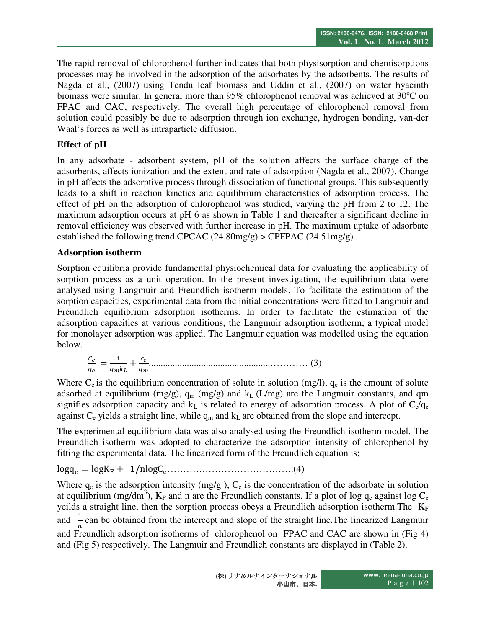The rapid removal of chlorophenol further indicates that both physisorption and chemisorptions processes may be involved in the adsorption of the adsorbates by the adsorbents. The results of Nagda et al., (2007) using Tendu leaf biomass and Uddin et al., (2007) on water hyacinth biomass were similar. In general more than 95% chlorophenol removal was achieved at  $30^{\circ}$ C on FPAC and CAC, respectively. The overall high percentage of chlorophenol removal from solution could possibly be due to adsorption through ion exchange, hydrogen bonding, van-der Waal's forces as well as intraparticle diffusion.

## **Effect of pH**

In any adsorbate - adsorbent system, pH of the solution affects the surface charge of the adsorbents, affects ionization and the extent and rate of adsorption (Nagda et al., 2007). Change in pH affects the adsorptive process through dissociation of functional groups. This subsequently leads to a shift in reaction kinetics and equilibrium characteristics of adsorption process. The effect of pH on the adsorption of chlorophenol was studied, varying the pH from 2 to 12. The maximum adsorption occurs at pH 6 as shown in Table 1 and thereafter a significant decline in removal efficiency was observed with further increase in pH. The maximum uptake of adsorbate established the following trend CPCAC (24.80mg/g) > CPFPAC (24.51mg/g).

## **Adsorption isotherm**

Sorption equilibria provide fundamental physiochemical data for evaluating the applicability of sorption process as a unit operation. In the present investigation, the equilibrium data were analysed using Langmuir and Freundlich isotherm models. To facilitate the estimation of the sorption capacities, experimental data from the initial concentrations were fitted to Langmuir and Freundlich equilibrium adsorption isotherms. In order to facilitate the estimation of the adsorption capacities at various conditions, the Langmuir adsorption isotherm, a typical model for monolayer adsorption was applied. The Langmuir equation was modelled using the equation below.

 = !" + \$ ...................................................………… (3)

Where  $C_e$  is the equilibrium concentration of solute in solution (mg/l),  $q_e$  is the amount of solute adsorbed at equilibrium (mg/g),  $q_m$  (mg/g) and  $k_L$  (L/mg) are the Langmuir constants, and qm signifies adsorption capacity and  $k<sub>L</sub>$  is related to energy of adsorption process. A plot of  $C_e/q_e$ against  $C_e$  yields a straight line, while  $q_m$  and  $k_L$  are obtained from the slope and intercept.

The experimental equilibrium data was also analysed using the Freundlich isotherm model. The Freundlich isotherm was adopted to characterize the adsorption intensity of chlorophenol by fitting the experimental data. The linearized form of the Freundlich equation is;

logq) = logK<sup>F</sup> + 1/nlogC)………………………………….(4)

Where  $q_e$  is the adsorption intensity (mg/g),  $C_e$  is the concentration of the adsorbate in solution at equilibrium (mg/dm<sup>3</sup>),  $K_F$  and n are the Freundlich constants. If a plot of log  $q_e$  against log C<sub>e</sub> yeilds a straight line, then the sorption process obeys a Freundlich adsorption isotherm. The KF and  $\frac{1}{n}$  $\frac{1}{n}$  can be obtained from the intercept and slope of the straight line. The linearized Langmuir and Freundlich adsorption isotherms of chlorophenol on FPAC and CAC are shown in (Fig 4) and (Fig 5) respectively. The Langmuir and Freundlich constants are displayed in (Table 2).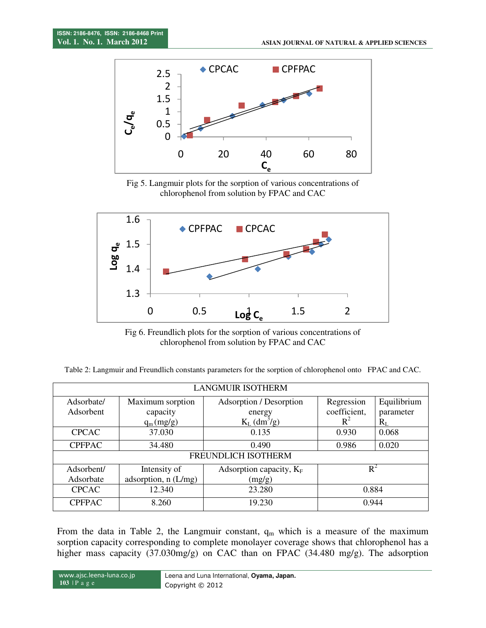

Fig 5. Langmuir plots for the sorption of various concentrations of chlorophenol from solution by FPAC and CAC



Fig 6. Freundlich plots for the sorption of various concentrations of chlorophenol from solution by FPAC and CAC

Table 2: Langmuir and Freundlich constants parameters for the sorption of chlorophenol onto FPAC and CAC.

| <b>LANGMUIR ISOTHERM</b> |                       |                            |              |             |  |  |  |  |  |
|--------------------------|-----------------------|----------------------------|--------------|-------------|--|--|--|--|--|
| Adsorbate/               | Maximum sorption      | Adsorption / Desorption    | Regression   | Equilibrium |  |  |  |  |  |
| Adsorbent                | capacity              | energy                     | coefficient, | parameter   |  |  |  |  |  |
|                          | $q_m(mg/g)$           | $K_L$ (dm <sup>3</sup> /g) | $R^2$        | $R_L$       |  |  |  |  |  |
| <b>CPCAC</b>             | 37.030                | 0.135                      | 0.930        | 0.068       |  |  |  |  |  |
| <b>CPFPAC</b>            | 34.480                | 0.490                      | 0.986        | 0.020       |  |  |  |  |  |
| FREUNDLICH ISOTHERM      |                       |                            |              |             |  |  |  |  |  |
| Adsorbent/               | Intensity of          | Adsorption capacity, $K_F$ | $R^2$        |             |  |  |  |  |  |
| Adsorbate                | adsorption, $n(L/mg)$ | (mg/g)                     |              |             |  |  |  |  |  |
| <b>CPCAC</b>             | 12.340                | 23.280                     | 0.884        |             |  |  |  |  |  |
| <b>CPFPAC</b>            | 8.260                 | 19.230                     | 0.944        |             |  |  |  |  |  |

From the data in Table 2, the Langmuir constant,  $q_m$  which is a measure of the maximum sorption capacity corresponding to complete monolayer coverage shows that chlorophenol has a higher mass capacity (37.030mg/g) on CAC than on FPAC (34.480 mg/g). The adsorption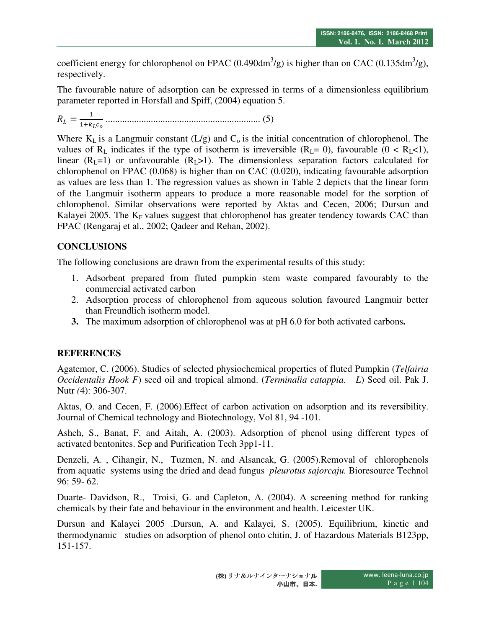coefficient energy for chlorophenol on FPAC (0.490dm<sup>3</sup>/g) is higher than on CAC (0.135dm<sup>3</sup>/g), respectively.

The favourable nature of adsorption can be expressed in terms of a dimensionless equilibrium parameter reported in Horsfall and Spiff, (2004) equation 5.

 $R_L = \frac{1}{1+k}$ 2!"\$3 ................................................................. (5)

Where  $K_L$  is a Langmuir constant (L/g) and  $C_0$  is the initial concentration of chlorophenol. The values of R<sub>L</sub> indicates if the type of isotherm is irreversible (R<sub>L</sub>= 0), favourable (0 < R<sub>L</sub><1), linear  $(R<sub>L</sub>=1)$  or unfavourable  $(R<sub>L</sub>>1)$ . The dimensionless separation factors calculated for chlorophenol on FPAC (0.068) is higher than on CAC (0.020), indicating favourable adsorption as values are less than 1. The regression values as shown in Table 2 depicts that the linear form of the Langmuir isotherm appears to produce a more reasonable model for the sorption of chlorophenol. Similar observations were reported by Aktas and Cecen, 2006; Dursun and Kalayei 2005. The  $K_F$  values suggest that chlorophenol has greater tendency towards CAC than FPAC (Rengaraj et al., 2002; Qadeer and Rehan, 2002).

# **CONCLUSIONS**

The following conclusions are drawn from the experimental results of this study:

- 1. Adsorbent prepared from fluted pumpkin stem waste compared favourably to the commercial activated carbon
- 2. Adsorption process of chlorophenol from aqueous solution favoured Langmuir better than Freundlich isotherm model.
- **3.** The maximum adsorption of chlorophenol was at pH 6.0 for both activated carbons**.**

# **REFERENCES**

Agatemor, C. (2006). Studies of selected physiochemical properties of fluted Pumpkin (*Telfairia Occidentalis Hook F*) seed oil and tropical almond. (*Terminalia catappia. L*) Seed oil. Pak J. Nutr *(*4): 306-307.

Aktas, O. and Cecen, F. (2006).Effect of carbon activation on adsorption and its reversibility. Journal of Chemical technology and Biotechnology, Vol 81, 94 -101.

Asheh, S., Banat, F. and Aitah, A. (2003). Adsorption of phenol using different types of activated bentonites. Sep and Purification Tech 3pp1-11.

Denzeli, A. , Cihangir, N., Tuzmen, N. and Alsancak, G. (2005).Removal of chlorophenols from aquatic systems using the dried and dead fungus *pleurotus sajorcaju.* Bioresource Technol 96: 59- 62.

Duarte- Davidson, R., Troisi, G. and Capleton, A. (2004). A screening method for ranking chemicals by their fate and behaviour in the environment and health. Leicester UK.

Dursun and Kalayei 2005 .Dursun, A. and Kalayei, S. (2005). Equilibrium, kinetic and thermodynamic studies on adsorption of phenol onto chitin, J. of Hazardous Materials B123pp, 151-157.